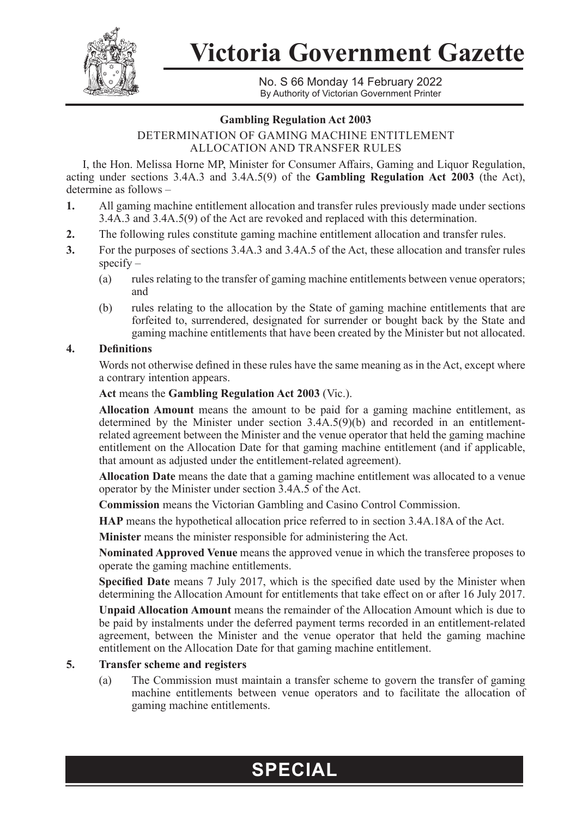

**Victoria Government Gazette**

No. S 66 Monday 14 February 2022 By Authority of Victorian Government Printer

#### **Gambling Regulation Act 2003**

DETERMINATION OF GAMING MACHINE ENTITLEMENT ALLOCATION AND TRANSFER RULES

I, the Hon. Melissa Horne MP, Minister for Consumer Affairs, Gaming and Liquor Regulation, acting under sections 3.4A.3 and 3.4A.5(9) of the **Gambling Regulation Act 2003** (the Act), determine as follows –

- **1.** All gaming machine entitlement allocation and transfer rules previously made under sections 3.4A.3 and 3.4A.5(9) of the Act are revoked and replaced with this determination.
- **2.** The following rules constitute gaming machine entitlement allocation and transfer rules.
- **3.** For the purposes of sections 3.4A.3 and 3.4A.5 of the Act, these allocation and transfer rules  $specify -$ 
	- (a) rules relating to the transfer of gaming machine entitlements between venue operators; and
	- (b) rules relating to the allocation by the State of gaming machine entitlements that are forfeited to, surrendered, designated for surrender or bought back by the State and gaming machine entitlements that have been created by the Minister but not allocated.

#### **4. Definitions**

Words not otherwise defined in these rules have the same meaning as in the Act, except where a contrary intention appears.

#### **Act** means the **Gambling Regulation Act 2003** (Vic.).

**Allocation Amount** means the amount to be paid for a gaming machine entitlement, as determined by the Minister under section 3.4A.5(9)(b) and recorded in an entitlementrelated agreement between the Minister and the venue operator that held the gaming machine entitlement on the Allocation Date for that gaming machine entitlement (and if applicable, that amount as adjusted under the entitlement-related agreement).

**Allocation Date** means the date that a gaming machine entitlement was allocated to a venue operator by the Minister under section 3.4A.5 of the Act.

**Commission** means the Victorian Gambling and Casino Control Commission.

**HAP** means the hypothetical allocation price referred to in section 3.4A.18A of the Act.

**Minister** means the minister responsible for administering the Act.

**Nominated Approved Venue** means the approved venue in which the transferee proposes to operate the gaming machine entitlements.

**Specified Date** means 7 July 2017, which is the specified date used by the Minister when determining the Allocation Amount for entitlements that take effect on or after 16 July 2017.

**Unpaid Allocation Amount** means the remainder of the Allocation Amount which is due to be paid by instalments under the deferred payment terms recorded in an entitlement-related agreement, between the Minister and the venue operator that held the gaming machine entitlement on the Allocation Date for that gaming machine entitlement.

#### **5. Transfer scheme and registers**

(a) The Commission must maintain a transfer scheme to govern the transfer of gaming machine entitlements between venue operators and to facilitate the allocation of gaming machine entitlements.

## **SPECIAL**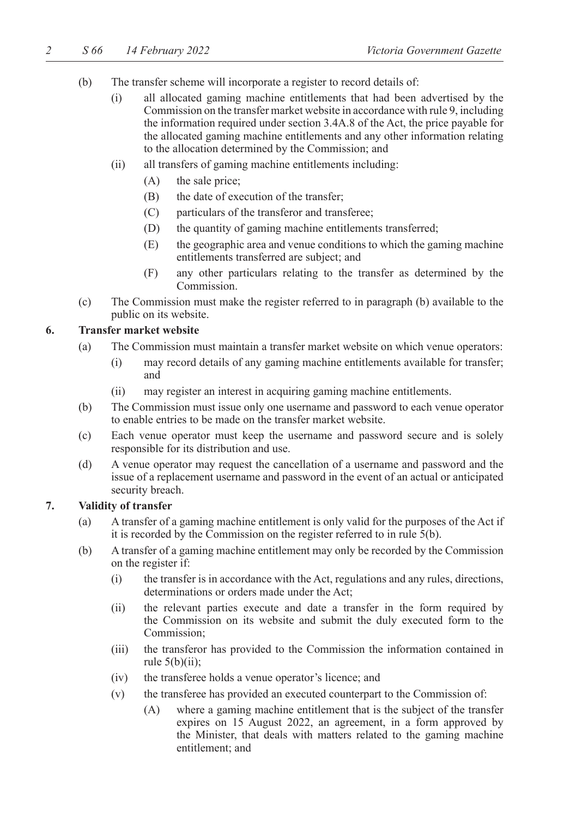- (b) The transfer scheme will incorporate a register to record details of:
	- (i) all allocated gaming machine entitlements that had been advertised by the Commission on the transfer market website in accordance with rule 9, including the information required under section 3.4A.8 of the Act, the price payable for the allocated gaming machine entitlements and any other information relating to the allocation determined by the Commission; and
	- (ii) all transfers of gaming machine entitlements including:
		- (A) the sale price;
		- (B) the date of execution of the transfer;
		- (C) particulars of the transferor and transferee;
		- (D) the quantity of gaming machine entitlements transferred;
		- (E) the geographic area and venue conditions to which the gaming machine entitlements transferred are subject; and
		- (F) any other particulars relating to the transfer as determined by the Commission.
- (c) The Commission must make the register referred to in paragraph (b) available to the public on its website.

#### **6. Transfer market website**

- (a) The Commission must maintain a transfer market website on which venue operators:
	- (i) may record details of any gaming machine entitlements available for transfer; and
	- (ii) may register an interest in acquiring gaming machine entitlements.
- (b) The Commission must issue only one username and password to each venue operator to enable entries to be made on the transfer market website.
- (c) Each venue operator must keep the username and password secure and is solely responsible for its distribution and use.
- (d) A venue operator may request the cancellation of a username and password and the issue of a replacement username and password in the event of an actual or anticipated security breach.

#### **7. Validity of transfer**

- (a) A transfer of a gaming machine entitlement is only valid for the purposes of the Act if it is recorded by the Commission on the register referred to in rule 5(b).
- (b) A transfer of a gaming machine entitlement may only be recorded by the Commission on the register if:
	- (i) the transfer is in accordance with the Act, regulations and any rules, directions, determinations or orders made under the Act;
	- (ii) the relevant parties execute and date a transfer in the form required by the Commission on its website and submit the duly executed form to the Commission;
	- (iii) the transferor has provided to the Commission the information contained in rule  $5(b)(ii)$ ;
	- (iv) the transferee holds a venue operator's licence; and
	- (v) the transferee has provided an executed counterpart to the Commission of:
		- (A) where a gaming machine entitlement that is the subject of the transfer expires on 15 August 2022, an agreement, in a form approved by the Minister, that deals with matters related to the gaming machine entitlement; and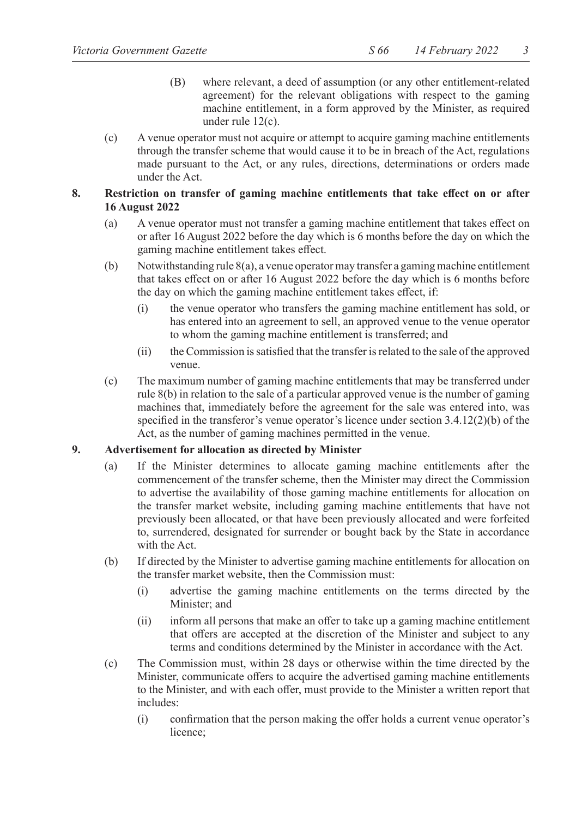- (B) where relevant, a deed of assumption (or any other entitlement-related agreement) for the relevant obligations with respect to the gaming machine entitlement, in a form approved by the Minister, as required under rule 12(c).
- (c) A venue operator must not acquire or attempt to acquire gaming machine entitlements through the transfer scheme that would cause it to be in breach of the Act, regulations made pursuant to the Act, or any rules, directions, determinations or orders made under the Act.

#### **8. Restriction on transfer of gaming machine entitlements that take effect on or after 16 August 2022**

- (a) A venue operator must not transfer a gaming machine entitlement that takes effect on or after 16 August 2022 before the day which is 6 months before the day on which the gaming machine entitlement takes effect.
- (b) Notwithstanding rule 8(a), a venue operator may transfer a gaming machine entitlement that takes effect on or after 16 August 2022 before the day which is 6 months before the day on which the gaming machine entitlement takes effect, if:
	- (i) the venue operator who transfers the gaming machine entitlement has sold, or has entered into an agreement to sell, an approved venue to the venue operator to whom the gaming machine entitlement is transferred; and
	- (ii) the Commission is satisfied that the transfer is related to the sale of the approved venue.
- (c) The maximum number of gaming machine entitlements that may be transferred under rule 8(b) in relation to the sale of a particular approved venue is the number of gaming machines that, immediately before the agreement for the sale was entered into, was specified in the transferor's venue operator's licence under section 3.4.12(2)(b) of the Act, as the number of gaming machines permitted in the venue.

#### **9. Advertisement for allocation as directed by Minister**

- (a) If the Minister determines to allocate gaming machine entitlements after the commencement of the transfer scheme, then the Minister may direct the Commission to advertise the availability of those gaming machine entitlements for allocation on the transfer market website, including gaming machine entitlements that have not previously been allocated, or that have been previously allocated and were forfeited to, surrendered, designated for surrender or bought back by the State in accordance with the Act.
- (b) If directed by the Minister to advertise gaming machine entitlements for allocation on the transfer market website, then the Commission must:
	- (i) advertise the gaming machine entitlements on the terms directed by the Minister; and
	- (ii) inform all persons that make an offer to take up a gaming machine entitlement that offers are accepted at the discretion of the Minister and subject to any terms and conditions determined by the Minister in accordance with the Act.
- (c) The Commission must, within 28 days or otherwise within the time directed by the Minister, communicate offers to acquire the advertised gaming machine entitlements to the Minister, and with each offer, must provide to the Minister a written report that includes:
	- (i) confirmation that the person making the offer holds a current venue operator's licence;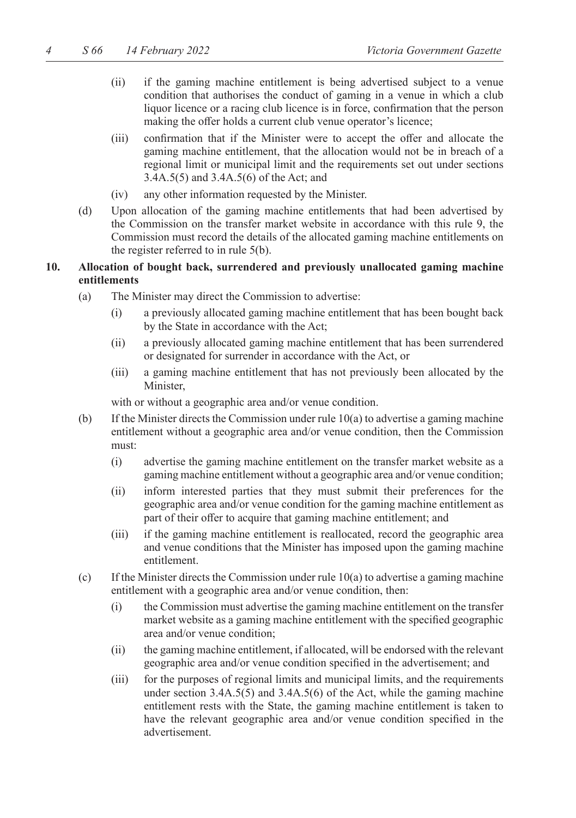- (ii) if the gaming machine entitlement is being advertised subject to a venue condition that authorises the conduct of gaming in a venue in which a club liquor licence or a racing club licence is in force, confirmation that the person making the offer holds a current club venue operator's licence;
- (iii) confirmation that if the Minister were to accept the offer and allocate the gaming machine entitlement, that the allocation would not be in breach of a regional limit or municipal limit and the requirements set out under sections 3.4A.5(5) and 3.4A.5(6) of the Act; and
- (iv) any other information requested by the Minister.
- (d) Upon allocation of the gaming machine entitlements that had been advertised by the Commission on the transfer market website in accordance with this rule 9, the Commission must record the details of the allocated gaming machine entitlements on the register referred to in rule 5(b).

#### **10. Allocation of bought back, surrendered and previously unallocated gaming machine entitlements**

- (a) The Minister may direct the Commission to advertise:
	- (i) a previously allocated gaming machine entitlement that has been bought back by the State in accordance with the Act;
	- (ii) a previously allocated gaming machine entitlement that has been surrendered or designated for surrender in accordance with the Act, or
	- (iii) a gaming machine entitlement that has not previously been allocated by the Minister,

with or without a geographic area and/or venue condition.

- (b) If the Minister directs the Commission under rule 10(a) to advertise a gaming machine entitlement without a geographic area and/or venue condition, then the Commission must:
	- (i) advertise the gaming machine entitlement on the transfer market website as a gaming machine entitlement without a geographic area and/or venue condition;
	- (ii) inform interested parties that they must submit their preferences for the geographic area and/or venue condition for the gaming machine entitlement as part of their offer to acquire that gaming machine entitlement; and
	- (iii) if the gaming machine entitlement is reallocated, record the geographic area and venue conditions that the Minister has imposed upon the gaming machine entitlement.
- (c) If the Minister directs the Commission under rule  $10(a)$  to advertise a gaming machine entitlement with a geographic area and/or venue condition, then:
	- (i) the Commission must advertise the gaming machine entitlement on the transfer market website as a gaming machine entitlement with the specified geographic area and/or venue condition;
	- (ii) the gaming machine entitlement, if allocated, will be endorsed with the relevant geographic area and/or venue condition specified in the advertisement; and
	- (iii) for the purposes of regional limits and municipal limits, and the requirements under section 3.4A.5(5) and 3.4A.5(6) of the Act, while the gaming machine entitlement rests with the State, the gaming machine entitlement is taken to have the relevant geographic area and/or venue condition specified in the advertisement.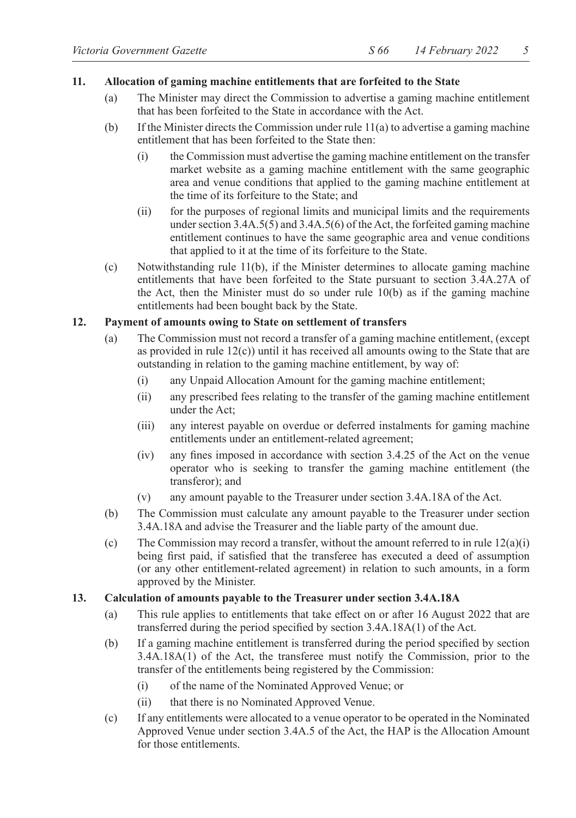#### **11. Allocation of gaming machine entitlements that are forfeited to the State**

- (a) The Minister may direct the Commission to advertise a gaming machine entitlement that has been forfeited to the State in accordance with the Act.
- (b) If the Minister directs the Commission under rule  $11(a)$  to advertise a gaming machine entitlement that has been forfeited to the State then:
	- (i) the Commission must advertise the gaming machine entitlement on the transfer market website as a gaming machine entitlement with the same geographic area and venue conditions that applied to the gaming machine entitlement at the time of its forfeiture to the State; and
	- (ii) for the purposes of regional limits and municipal limits and the requirements under section 3.4A.5(5) and 3.4A.5(6) of the Act, the forfeited gaming machine entitlement continues to have the same geographic area and venue conditions that applied to it at the time of its forfeiture to the State.
- (c) Notwithstanding rule 11(b), if the Minister determines to allocate gaming machine entitlements that have been forfeited to the State pursuant to section 3.4A.27A of the Act, then the Minister must do so under rule  $10(b)$  as if the gaming machine entitlements had been bought back by the State.

#### **12. Payment of amounts owing to State on settlement of transfers**

- (a) The Commission must not record a transfer of a gaming machine entitlement, (except as provided in rule 12(c)) until it has received all amounts owing to the State that are outstanding in relation to the gaming machine entitlement, by way of:
	- (i) any Unpaid Allocation Amount for the gaming machine entitlement;
	- (ii) any prescribed fees relating to the transfer of the gaming machine entitlement under the Act;
	- (iii) any interest payable on overdue or deferred instalments for gaming machine entitlements under an entitlement-related agreement;
	- (iv) any fines imposed in accordance with section 3.4.25 of the Act on the venue operator who is seeking to transfer the gaming machine entitlement (the transferor); and
	- (v) any amount payable to the Treasurer under section 3.4A.18A of the Act.
- (b) The Commission must calculate any amount payable to the Treasurer under section 3.4A.18A and advise the Treasurer and the liable party of the amount due.
- (c) The Commission may record a transfer, without the amount referred to in rule  $12(a)(i)$ being first paid, if satisfied that the transferee has executed a deed of assumption (or any other entitlement-related agreement) in relation to such amounts, in a form approved by the Minister.

#### **13. Calculation of amounts payable to the Treasurer under section 3.4A.18A**

- (a) This rule applies to entitlements that take effect on or after 16 August 2022 that are transferred during the period specified by section 3.4A.18A(1) of the Act.
- (b) If a gaming machine entitlement is transferred during the period specified by section 3.4A.18A(1) of the Act, the transferee must notify the Commission, prior to the transfer of the entitlements being registered by the Commission:
	- (i) of the name of the Nominated Approved Venue; or
	- (ii) that there is no Nominated Approved Venue.
- (c) If any entitlements were allocated to a venue operator to be operated in the Nominated Approved Venue under section 3.4A.5 of the Act, the HAP is the Allocation Amount for those entitlements.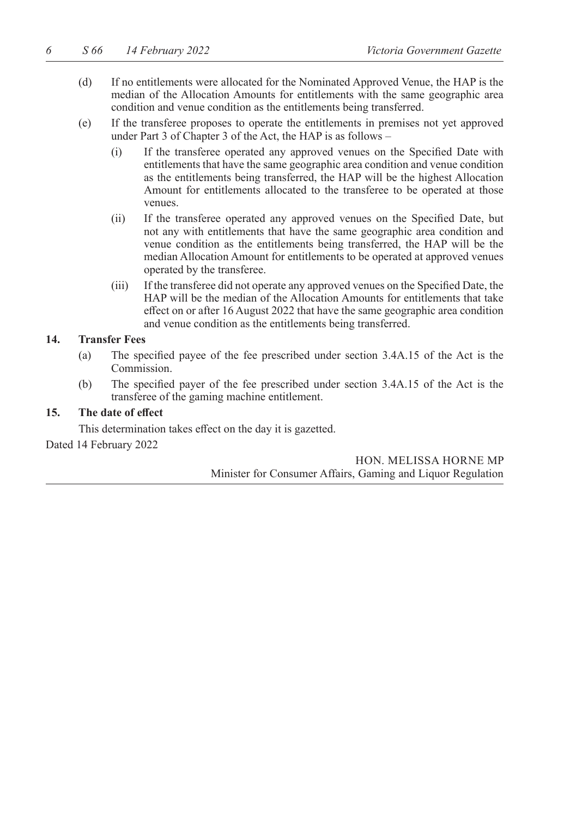- (d) If no entitlements were allocated for the Nominated Approved Venue, the HAP is the median of the Allocation Amounts for entitlements with the same geographic area condition and venue condition as the entitlements being transferred.
- (e) If the transferee proposes to operate the entitlements in premises not yet approved under Part 3 of Chapter 3 of the Act, the HAP is as follows –
	- (i) If the transferee operated any approved venues on the Specified Date with entitlements that have the same geographic area condition and venue condition as the entitlements being transferred, the HAP will be the highest Allocation Amount for entitlements allocated to the transferee to be operated at those venues.
	- (ii) If the transferee operated any approved venues on the Specified Date, but not any with entitlements that have the same geographic area condition and venue condition as the entitlements being transferred, the HAP will be the median Allocation Amount for entitlements to be operated at approved venues operated by the transferee.
	- (iii) If the transferee did not operate any approved venues on the Specified Date, the HAP will be the median of the Allocation Amounts for entitlements that take effect on or after 16 August 2022 that have the same geographic area condition and venue condition as the entitlements being transferred.

#### **14. Transfer Fees**

- (a) The specified payee of the fee prescribed under section 3.4A.15 of the Act is the Commission.
- (b) The specified payer of the fee prescribed under section 3.4A.15 of the Act is the transferee of the gaming machine entitlement.

#### **15. The date of effect**

This determination takes effect on the day it is gazetted. Dated 14 February 2022

> HON. MELISSA HORNE MP Minister for Consumer Affairs, Gaming and Liquor Regulation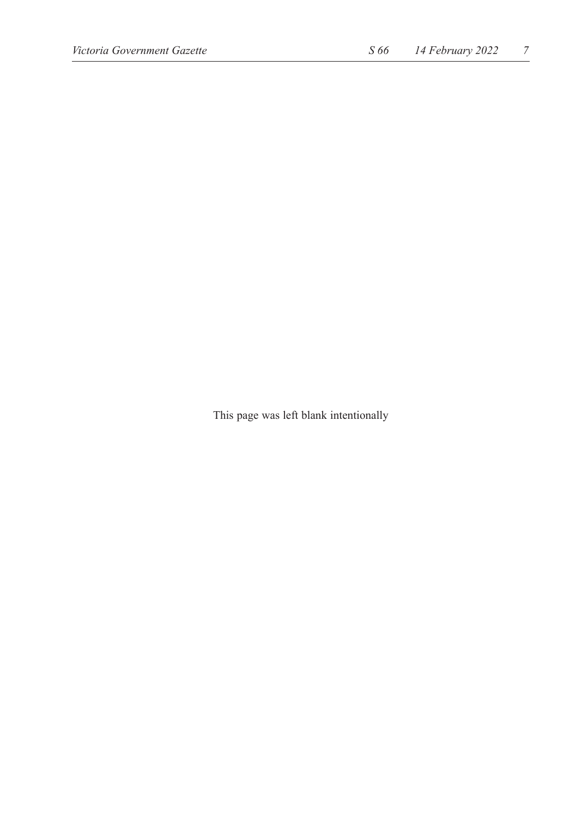This page was left blank intentionally